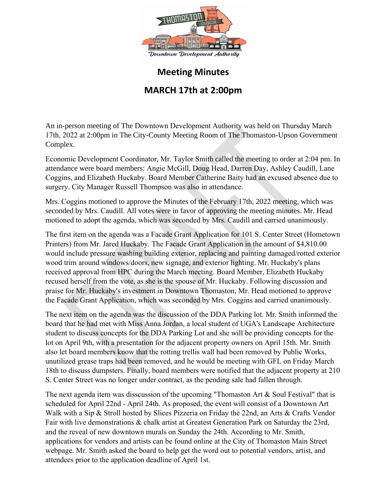

## **Meeting Minutes**

## **MARCH 17th at 2:00pm**

An in-person meeting of The Downtown Development Authority was held on Thursday March 17th, 2022 at 2:00pm in The City-County Meeting Room of The Thomaston-Upson Government Complex.

Economic Development Coordinator, Mr. Taylor Smith called the meeting to order at 2:04 pm. In attendance were board members: Angie McGill, Doug Head, Darren Day, Ashley Caudill, Lane Coggins, and Elizabeth Huckaby. Board Member Catherine Baity had an excused absence due to surgery. City Manager Russell Thompson was also in attendance.

Mrs. Coggins motioned to approve the Minutes of the February 17th, 2022 meeting, which was seconded by Mrs. Caudill. All votes were in favor of approving the meeting minutes. Mr. Head motioned to adopt the agenda, which was seconded by Mrs. Caudill and carried unanimously.

The first item on the agenda was a Facade Grant Application for 101 S. Center Street (Hometown Printers) from Mr. Jared Huckaby. The Facade Grant Application in the amount of \$4,810.00 would include pressure washing building exterior, replacing and painting damaged/rotted exterior wood trim around windows/doors, new signage, and exterior lighting. Mr. Huckaby's plans received approval from HPC during the March meeting. Board Member, Elizabeth Huckaby recused herself from the vote, as she is the spouse of Mr. Huckaby. Following discussion and praise for Mr. Huckaby's investment in Downtown Thomaston, Mr. Head motioned to approve the Facade Grant Application, which was seconded by Mrs. Coggins and carried unanimously.

The next item on the agenda was the discussion of the DDA Parking lot. Mr. Smith informed the board that he had met with Miss Anna Jordan, a local student of UGA's Landscape Architecture student to discuss concepts for the DDA Parking Lot and she will be providing concepts for the lot on April 9th, with a presentation for the adjacent property owners on April 15th. Mr. Smith also let board members know that the rotting trellis wall had been removed by Public Works, unutilized grease traps had been removed, and he would be meeting with GFL on Friday March 18th to discuss dumpsters. Finally, board members were notified that the adjacent property at 210 S. Center Street was no longer under contract, as the pending sale had fallen through.

The next agenda item was disscussion of the upcoming "Thomaston Art & Soul Festival" that is scheduled for April 22nd - April 24th. As proposed, the event will consist of a Downtown Art Walk with a Sip & Stroll hosted by Slices Pizzeria on Friday the 22nd, an Arts & Crafts Vendor Fair with live demonstrations & chalk artist at Greatest Generation Park on Saturday the 23rd, and the reveal of new downtown murals on Sunday the 24th. According to Mr. Smith, applications for vendors and artists can be found online at the City of Thomaston Main Street webpage. Mr. Smith asked the board to help get the word out to potential vendors, artist, and attendees prior to the application deadline of April 1st.